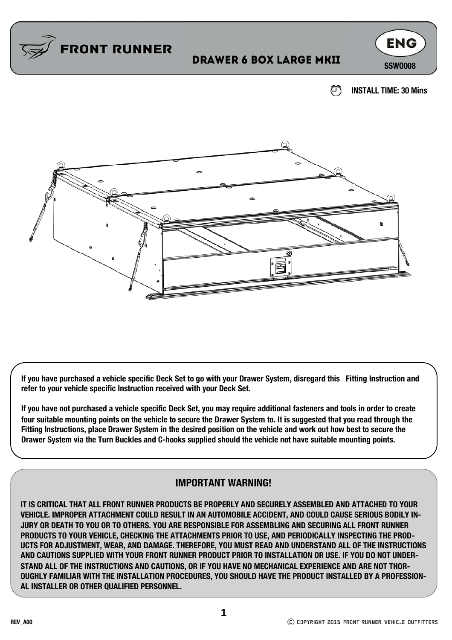

## **DRAWER 6 BOX LARGE MKII** SSWOOO8



☎ **INSTALL TIME: 30 Mins**



**If you have purchased a vehicle specific Deck Set to go with your Drawer System, disregard this Fitting Instruction and refer to your vehicle specific Instruction received with your Deck Set.** 

**If you have not purchased a vehicle specific Deck Set, you may require additional fasteners and tools in order to create four suitable mounting points on the vehicle to secure the Drawer System to. It is suggested that you read through the Fitting Instructions, place Drawer System in the desired position on the vehicle and work out how best to secure the Drawer System via the Turn Buckles and C-hooks supplied should the vehicle not have suitable mounting points.** 

#### **IMPORTANT WARNING!**

**IT IS CRITICAL THAT ALL FRONT RUNNER PRODUCTS BE PROPERLY AND SECURELY ASSEMBLED AND ATTACHED TO YOUR VEHICLE. IMPROPER ATTACHMENT COULD RESULT IN AN AUTOMOBILE ACCIDENT, AND COULD CAUSE SERIOUS BODILY IN-JURY OR DEATH TO YOU OR TO OTHERS. YOU ARE RESPONSIBLE FOR ASSEMBLING AND SECURING ALL FRONT RUNNER PRODUCTS TO YOUR VEHICLE, CHECKING THE ATTACHMENTS PRIOR TO USE, AND PERIODICALLY INSPECTING THE PROD-UCTS FOR ADJUSTMENT, WEAR, AND DAMAGE. THEREFORE, YOU MUST READ AND UNDERSTAND ALL OF THE INSTRUCTIONS AND CAUTIONS SUPPLIED WITH YOUR FRONT RUNNER PRODUCT PRIOR TO INSTALLATION OR USE. IF YOU DO NOT UNDER-STAND ALL OF THE INSTRUCTIONS AND CAUTIONS, OR IF YOU HAVE NO MECHANICAL EXPERIENCE AND ARE NOT THOR-OUGHLY FAMILIAR WITH THE INSTALLATION PROCEDURES, YOU SHOULD HAVE THE PRODUCT INSTALLED BY A PROFESSION-AL INSTALLER OR OTHER QUALIFIED PERSONNEL.**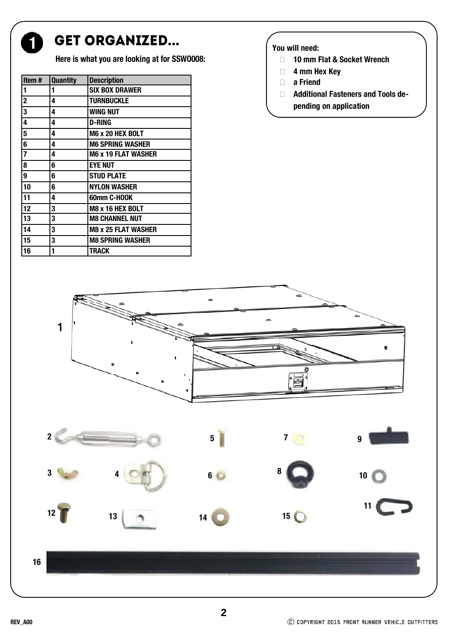

### GET ORGANIZED...

**Here is what you are looking at for SSWO008:**

| Item#                   | <b>Quantity</b> | <b>Description</b>         |
|-------------------------|-----------------|----------------------------|
| 1                       | 1               | <b>SIX BOX DRAWER</b>      |
| $\overline{\mathbf{2}}$ | 4               | <b>TURNBUCKLE</b>          |
| $\overline{\mathbf{3}}$ | 4               | <b>WING NUT</b>            |
| 4                       | 4               | <b>D-RING</b>              |
| 5                       | 4               | <b>M6 x 20 HEX BOLT</b>    |
| $\overline{\mathbf{6}}$ | 4               | <b>M6 SPRING WASHER</b>    |
|                         | 4               | <b>M6 x 19 FLAT WASHER</b> |
| $\overline{\mathbf{8}}$ | 6               | <b>EYE NUT</b>             |
| $\overline{9}$          | 6               | <b>STUD PLATE</b>          |
| 10                      | 6               | <b>NYLON WASHER</b>        |
| 11                      | 4               | 60mm C-HOOK                |
| $\overline{12}$         | 3               | <b>M8 x 16 HEX BOLT</b>    |
| 13                      | 3               | <b>M8 CHANNEL NUT</b>      |
| 14                      | 3               | <b>M8 x 25 FLAT WASHER</b> |
| 15                      | 3               | <b>M8 SPRING WASHER</b>    |
| 16                      | 1               | TRACK                      |

#### **You will need:**

- **10 mm Flat & Socket Wrench**
- **4 mm Hex Key**
- **a Friend**
- **Additional Fasteners and Tools depending on application**



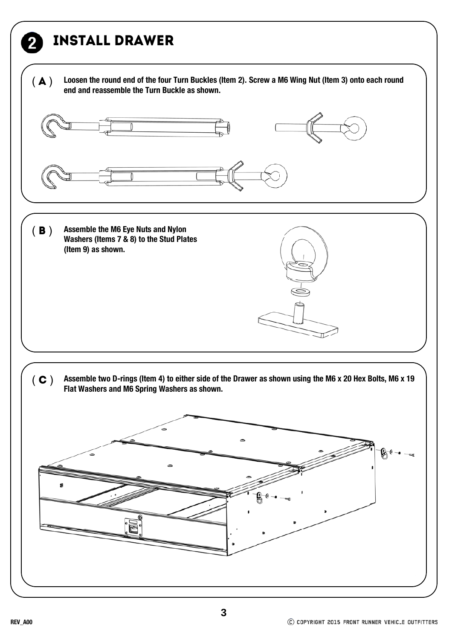## Install drawer

( $\bf{A}$ ) Loosen the round end of the four Turn Buckles (Item 2). Screw a M6 Wing Nut (Item 3) onto each round end and reassemble the Turn Buckle as shown.



- **Assemble the M6 Eye Nuts and Nylon Washers (Items 7 & 8) to the Stud Plates (Item 9) as shown.**   $(B)$
- $(C)$  Assemble two D-rings (Item 4) to either side of the Drawer as shown using the M6 x 20 Hex Bolts, M6 x 19 **Flat Washers and M6 Spring Washers as shown.**

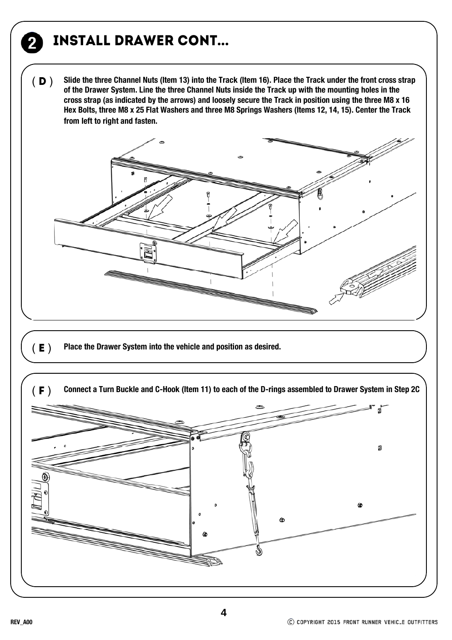## Install drawer cont...

**Slide the three Channel Nuts (Item 13) into the Track (Item 16). Place the Track under the front cross strap of the Drawer System. Line the three Channel Nuts inside the Track up with the mounting holes in the cross strap (as indicated by the arrows) and loosely secure the Track in position using the three M8 x 16 Hex Bolts, three M8 x 25 Flat Washers and three M8 Springs Washers (Items 12, 14, 15). Center the Track from left to right and fasten.**   $(D)$ 



(**E** ) Place the Drawer System into the vehicle and position as desired.

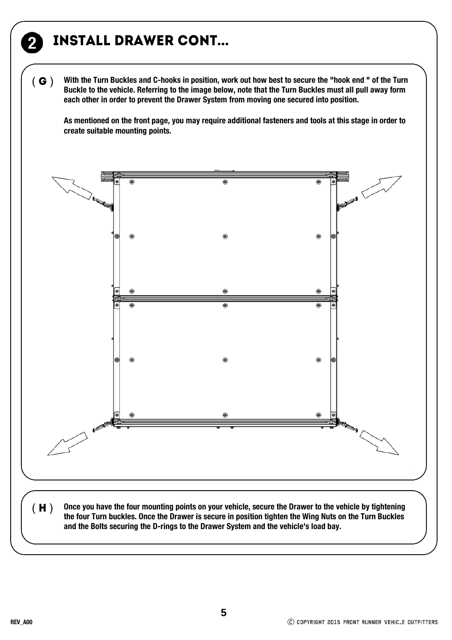## Install drawer cont...

**With the Turn Buckles and C-hooks in position, work out how best to secure the "hook end " of the Turn Buckle to the vehicle. Referring to the image below, note that the Turn Buckles must all pull away form each other in order to prevent the Drawer System from moving one secured into position.**   $(G)$ 

**As mentioned on the front page, you may require additional fasteners and tools at this stage in order to create suitable mounting points.**